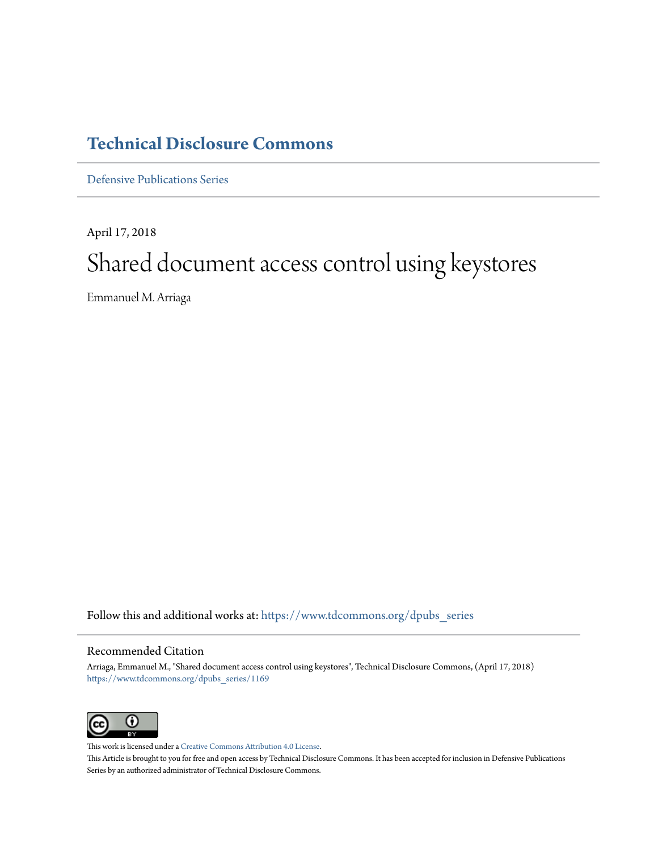# **[Technical Disclosure Commons](https://www.tdcommons.org?utm_source=www.tdcommons.org%2Fdpubs_series%2F1169&utm_medium=PDF&utm_campaign=PDFCoverPages)**

[Defensive Publications Series](https://www.tdcommons.org/dpubs_series?utm_source=www.tdcommons.org%2Fdpubs_series%2F1169&utm_medium=PDF&utm_campaign=PDFCoverPages)

April 17, 2018 Shared document access control using keystores

Emmanuel M. Arriaga

Follow this and additional works at: [https://www.tdcommons.org/dpubs\\_series](https://www.tdcommons.org/dpubs_series?utm_source=www.tdcommons.org%2Fdpubs_series%2F1169&utm_medium=PDF&utm_campaign=PDFCoverPages)

## Recommended Citation

Arriaga, Emmanuel M., "Shared document access control using keystores", Technical Disclosure Commons, (April 17, 2018) [https://www.tdcommons.org/dpubs\\_series/1169](https://www.tdcommons.org/dpubs_series/1169?utm_source=www.tdcommons.org%2Fdpubs_series%2F1169&utm_medium=PDF&utm_campaign=PDFCoverPages)



This work is licensed under a [Creative Commons Attribution 4.0 License.](http://creativecommons.org/licenses/by/4.0/deed.en_US) This Article is brought to you for free and open access by Technical Disclosure Commons. It has been accepted for inclusion in Defensive Publications Series by an authorized administrator of Technical Disclosure Commons.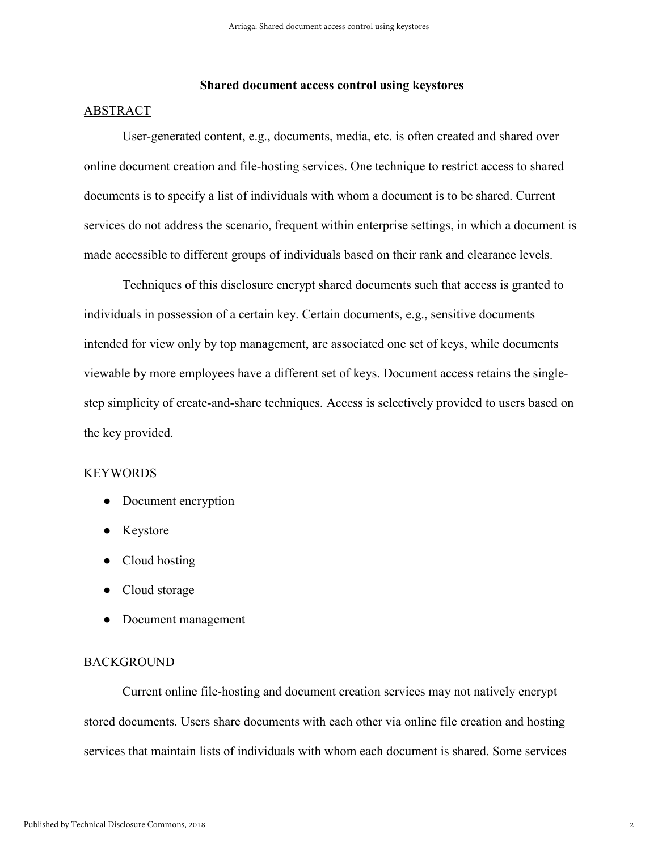## **Shared document access control using keystores**

## ABSTRACT

User-generated content, e.g., documents, media, etc. is often created and shared over online document creation and file-hosting services. One technique to restrict access to shared documents is to specify a list of individuals with whom a document is to be shared. Current services do not address the scenario, frequent within enterprise settings, in which a document is made accessible to different groups of individuals based on their rank and clearance levels.

Techniques of this disclosure encrypt shared documents such that access is granted to individuals in possession of a certain key. Certain documents, e.g., sensitive documents intended for view only by top management, are associated one set of keys, while documents viewable by more employees have a different set of keys. Document access retains the singlestep simplicity of create-and-share techniques. Access is selectively provided to users based on the key provided.

### **KEYWORDS**

- Document encryption
- Keystore
- Cloud hosting
- Cloud storage
- Document management

### BACKGROUND

Current online file-hosting and document creation services may not natively encrypt stored documents. Users share documents with each other via online file creation and hosting services that maintain lists of individuals with whom each document is shared. Some services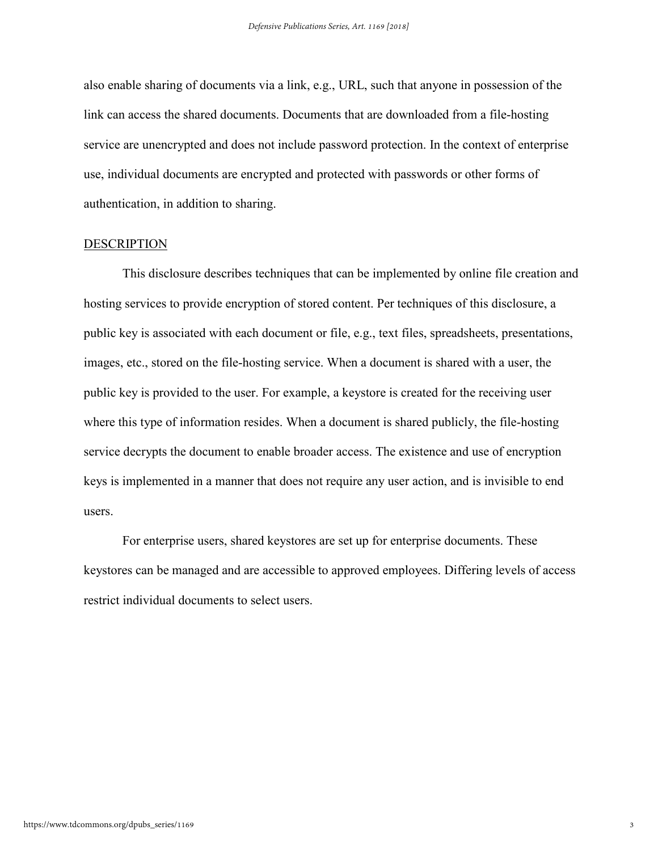also enable sharing of documents via a link, e.g., URL, such that anyone in possession of the link can access the shared documents. Documents that are downloaded from a file-hosting service are unencrypted and does not include password protection. In the context of enterprise use, individual documents are encrypted and protected with passwords or other forms of authentication, in addition to sharing.

#### DESCRIPTION

This disclosure describes techniques that can be implemented by online file creation and hosting services to provide encryption of stored content. Per techniques of this disclosure, a public key is associated with each document or file, e.g., text files, spreadsheets, presentations, images, etc., stored on the file-hosting service. When a document is shared with a user, the public key is provided to the user. For example, a keystore is created for the receiving user where this type of information resides. When a document is shared publicly, the file-hosting service decrypts the document to enable broader access. The existence and use of encryption keys is implemented in a manner that does not require any user action, and is invisible to end users.

For enterprise users, shared keystores are set up for enterprise documents. These keystores can be managed and are accessible to approved employees. Differing levels of access restrict individual documents to select users.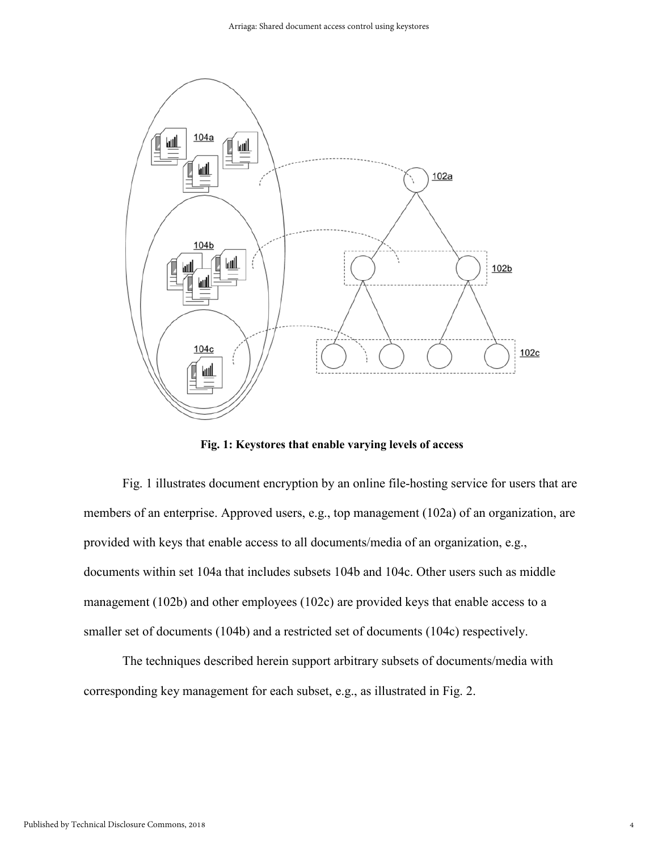

**Fig. 1: Keystores that enable varying levels of access** 

Fig. 1 illustrates document encryption by an online file-hosting service for users that are members of an enterprise. Approved users, e.g., top management (102a) of an organization, are provided with keys that enable access to all documents/media of an organization, e.g., documents within set 104a that includes subsets 104b and 104c. Other users such as middle management (102b) and other employees (102c) are provided keys that enable access to a smaller set of documents (104b) and a restricted set of documents (104c) respectively.

The techniques described herein support arbitrary subsets of documents/media with corresponding key management for each subset, e.g., as illustrated in Fig. 2.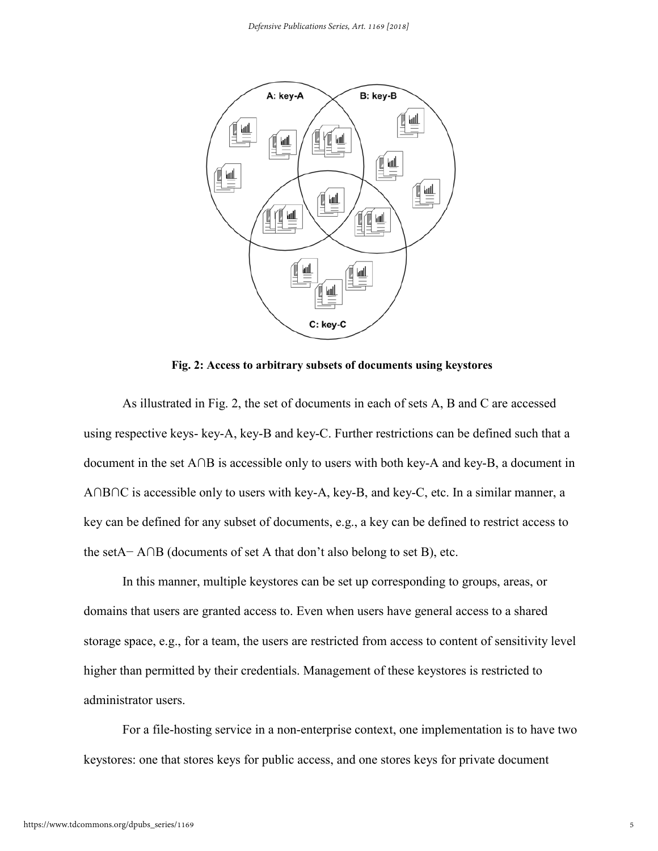

**Fig. 2: Access to arbitrary subsets of documents using keystores** 

As illustrated in Fig. 2, the set of documents in each of sets A, B and C are accessed using respective keys- key-A, key-B and key-C. Further restrictions can be defined such that a document in the set A∩B is accessible only to users with both key-A and key-B, a document in A∩B∩C is accessible only to users with key-A, key-B, and key-C, etc. In a similar manner, a key can be defined for any subset of documents, e.g., a key can be defined to restrict access to the setA− A∩B (documents of set A that don't also belong to set B), etc.

In this manner, multiple keystores can be set up corresponding to groups, areas, or domains that users are granted access to. Even when users have general access to a shared storage space, e.g., for a team, the users are restricted from access to content of sensitivity level higher than permitted by their credentials. Management of these keystores is restricted to administrator users.

For a file-hosting service in a non-enterprise context, one implementation is to have two keystores: one that stores keys for public access, and one stores keys for private document